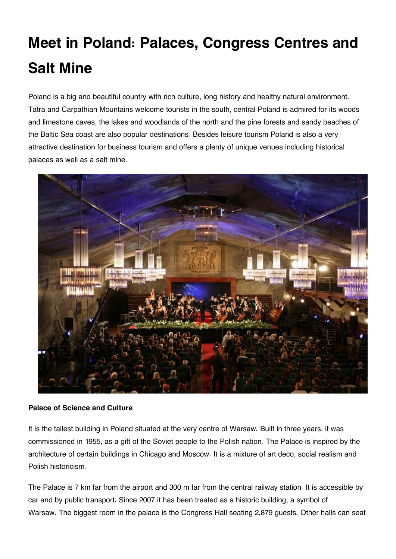# **Meet in Poland: Palaces, Congress Centres and Salt Mine**

Poland is a big and beautiful country with rich culture, long history and healthy natural environment. Tatra and Carpathian Mountains welcome tourists in the south, central Poland is admired for its woods and limestone caves, the lakes and woodlands of the north and the pine forests and sandy beaches of the Baltic Sea coast are also popular destinations. Besides leisure tourism Poland is also a very attractive destination for business tourism and offers a plenty of unique venues including historical palaces as well as a salt mine.



### **Palace of Science and Culture**

It is the tallest building in Poland situated at the very centre of Warsaw. Built in three years, it was commissioned in 1955, as a gift of the Soviet people to the Polish nation. The Palace is inspired by the architecture of certain buildings in Chicago and Moscow. It is a mixture of art deco, social realism and Polish historicism.

The Palace is 7 km far from the airport and 300 m far from the central railway station. It is accessible by car and by public transport. Since 2007 it has been treated as a historic building, a symbol of Warsaw. The biggest room in the palace is the Congress Hall seating 2,879 guests. Other halls can seat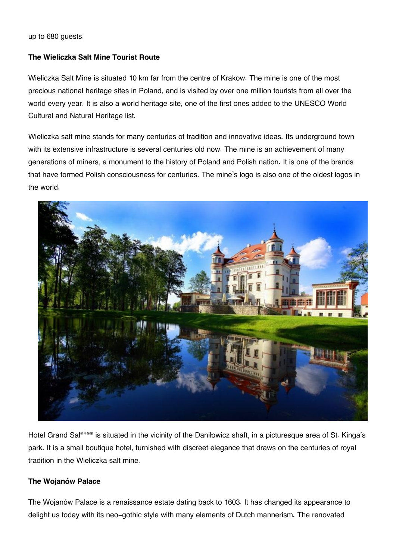up to 680 guests.

## **The Wieliczka Salt Mine Tourist Route**

Wieliczka Salt Mine is situated 10 km far from the centre of Krakow. The mine is one of the most precious national heritage sites in Poland, and is visited by over one million tourists from all over the world every year. It is also a world heritage site, one of the first ones added to the UNESCO World Cultural and Natural Heritage list.

Wieliczka salt mine stands for many centuries of tradition and innovative ideas. Its underground town with its extensive infrastructure is several centuries old now. The mine is an achievement of many generations of miners, a monument to the history of Poland and Polish nation. It is one of the brands that have formed Polish consciousness for centuries. The mine's logo is also one of the oldest logos in the world.



Hotel Grand Sal\*\*\*\* is situated in the vicinity of the Daniłowicz shaft, in a picturesque area of St. Kinga's park. It is a small boutique hotel, furnished with discreet elegance that draws on the centuries of royal tradition in the Wieliczka salt mine.

## **The Wojanów Palace**

The Wojanów Palace is a renaissance estate dating back to 1603. It has changed its appearance to delight us today with its neo-gothic style with many elements of Dutch mannerism. The renovated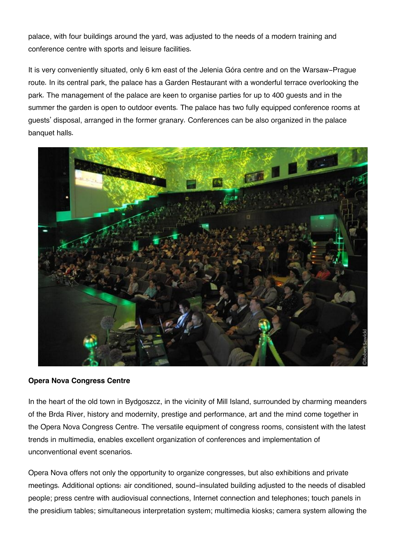palace, with four buildings around the yard, was adjusted to the needs of a modern training and conference centre with sports and leisure facilities.

It is very conveniently situated, only 6 km east of the Jelenia Góra centre and on the Warsaw-Prague route. In its central park, the palace has a Garden Restaurant with a wonderful terrace overlooking the park. The management of the palace are keen to organise parties for up to 400 guests and in the summer the garden is open to outdoor events. The palace has two fully equipped conference rooms at guests' disposal, arranged in the former granary. Conferences can be also organized in the palace banquet halls.



### **Opera Nova Congress Centre**

In the heart of the old town in Bydgoszcz, in the vicinity of Mill Island, surrounded by charming meanders of the Brda River, history and modernity, prestige and performance, art and the mind come together in the Opera Nova Congress Centre. The versatile equipment of congress rooms, consistent with the latest trends in multimedia, enables excellent organization of conferences and implementation of unconventional event scenarios.

Opera Nova offers not only the opportunity to organize congresses, but also exhibitions and private meetings. Additional options: air conditioned, sound-insulated building adjusted to the needs of disabled people; press centre with audiovisual connections, Internet connection and telephones; touch panels in the presidium tables; simultaneous interpretation system; multimedia kiosks; camera system allowing the